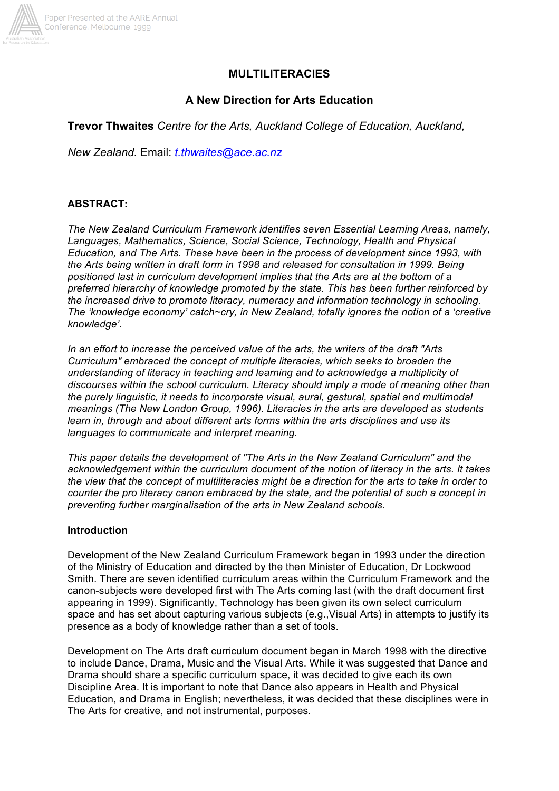

# **MULTILITERACIES**

# **A New Direction for Arts Education**

**Trevor Thwaites** *Centre for the Arts, Auckland College of Education, Auckland,*

*New Zealand.* Email: *t.thwaites@ace.ac.nz*

# **ABSTRACT:**

*The New Zealand Curriculum Framework identifies seven Essential Learning Areas, namely, Languages, Mathematics, Science, Social Science, Technology, Health and Physical Education, and The Arts. These have been in the process of development since 1993, with the Arts being written in draft form in 1998 and released for consultation in 1999. Being positioned last in curriculum development implies that the Arts are at the bottom of a preferred hierarchy of knowledge promoted by the state. This has been further reinforced by the increased drive to promote literacy, numeracy and information technology in schooling. The 'knowledge economy' catch~cry, in New Zealand, totally ignores the notion of a 'creative knowledge'.*

*In an effort to increase the perceived value of the arts, the writers of the draft "Arts Curriculum" embraced the concept of multiple literacies, which seeks to broaden the understanding of literacy in teaching and learning and to acknowledge a multiplicity of discourses within the school curriculum. Literacy should imply a mode of meaning other than the purely linguistic, it needs to incorporate visual, aural, gestural, spatial and multimodal meanings (The New London Group, 1996). Literacies in the arts are developed as students learn in, through and about different arts forms within the arts disciplines and use its languages to communicate and interpret meaning.*

*This paper details the development of "The Arts in the New Zealand Curriculum" and the acknowledgement within the curriculum document of the notion of literacy in the arts. It takes the view that the concept of multiliteracies might be a direction for the arts to take in order to counter the pro literacy canon embraced by the state, and the potential of such a concept in preventing further marginalisation of the arts in New Zealand schools.*

### **Introduction**

Development of the New Zealand Curriculum Framework began in 1993 under the direction of the Ministry of Education and directed by the then Minister of Education, Dr Lockwood Smith. There are seven identified curriculum areas within the Curriculum Framework and the canon-subjects were developed first with The Arts coming last (with the draft document first appearing in 1999). Significantly, Technology has been given its own select curriculum space and has set about capturing various subjects (e.g.,Visual Arts) in attempts to justify its presence as a body of knowledge rather than a set of tools.

Development on The Arts draft curriculum document began in March 1998 with the directive to include Dance, Drama, Music and the Visual Arts. While it was suggested that Dance and Drama should share a specific curriculum space, it was decided to give each its own Discipline Area. It is important to note that Dance also appears in Health and Physical Education, and Drama in English; nevertheless, it was decided that these disciplines were in The Arts for creative, and not instrumental, purposes.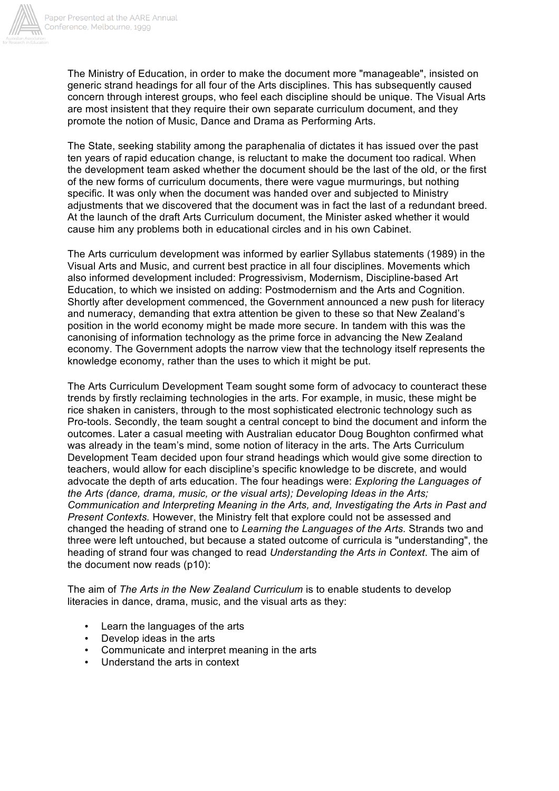

The Ministry of Education, in order to make the document more "manageable", insisted on generic strand headings for all four of the Arts disciplines. This has subsequently caused concern through interest groups, who feel each discipline should be unique. The Visual Arts are most insistent that they require their own separate curriculum document, and they promote the notion of Music, Dance and Drama as Performing Arts.

The State, seeking stability among the paraphenalia of dictates it has issued over the past ten years of rapid education change, is reluctant to make the document too radical. When the development team asked whether the document should be the last of the old, or the first of the new forms of curriculum documents, there were vague murmurings, but nothing specific. It was only when the document was handed over and subjected to Ministry adjustments that we discovered that the document was in fact the last of a redundant breed. At the launch of the draft Arts Curriculum document, the Minister asked whether it would cause him any problems both in educational circles and in his own Cabinet.

The Arts curriculum development was informed by earlier Syllabus statements (1989) in the Visual Arts and Music, and current best practice in all four disciplines. Movements which also informed development included: Progressivism, Modernism, Discipline-based Art Education, to which we insisted on adding: Postmodernism and the Arts and Cognition. Shortly after development commenced, the Government announced a new push for literacy and numeracy, demanding that extra attention be given to these so that New Zealand's position in the world economy might be made more secure. In tandem with this was the canonising of information technology as the prime force in advancing the New Zealand economy. The Government adopts the narrow view that the technology itself represents the knowledge economy, rather than the uses to which it might be put.

The Arts Curriculum Development Team sought some form of advocacy to counteract these trends by firstly reclaiming technologies in the arts. For example, in music, these might be rice shaken in canisters, through to the most sophisticated electronic technology such as Pro-tools. Secondly, the team sought a central concept to bind the document and inform the outcomes. Later a casual meeting with Australian educator Doug Boughton confirmed what was already in the team's mind, some notion of literacy in the arts. The Arts Curriculum Development Team decided upon four strand headings which would give some direction to teachers, would allow for each discipline's specific knowledge to be discrete, and would advocate the depth of arts education. The four headings were: *Exploring the Languages of the Arts (dance, drama, music, or the visual arts); Developing Ideas in the Arts; Communication and Interpreting Meaning in the Arts, and, Investigating the Arts in Past and Present Contexts.* However, the Ministry felt that explore could not be assessed and changed the heading of strand one to *Learning the Languages of the Arts.* Strands two and three were left untouched, but because a stated outcome of curricula is "understanding", the heading of strand four was changed to read *Understanding the Arts in Context*. The aim of the document now reads (p10):

The aim of *The Arts in the New Zealand Curriculum* is to enable students to develop literacies in dance, drama, music, and the visual arts as they:

- Learn the languages of the arts
- Develop ideas in the arts
- Communicate and interpret meaning in the arts
- Understand the arts in context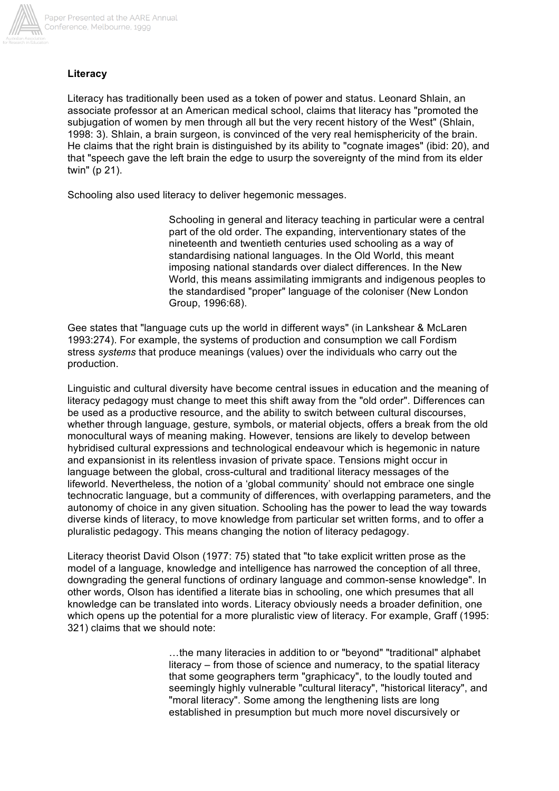

# **Literacy**

Literacy has traditionally been used as a token of power and status. Leonard Shlain, an associate professor at an American medical school, claims that literacy has "promoted the subjugation of women by men through all but the very recent history of the West" (Shlain, 1998: 3). Shlain, a brain surgeon, is convinced of the very real hemisphericity of the brain. He claims that the right brain is distinguished by its ability to "cognate images" (ibid: 20), and that "speech gave the left brain the edge to usurp the sovereignty of the mind from its elder twin" (p 21).

Schooling also used literacy to deliver hegemonic messages.

Schooling in general and literacy teaching in particular were a central part of the old order. The expanding, interventionary states of the nineteenth and twentieth centuries used schooling as a way of standardising national languages. In the Old World, this meant imposing national standards over dialect differences. In the New World, this means assimilating immigrants and indigenous peoples to the standardised "proper" language of the coloniser (New London Group, 1996:68).

Gee states that "language cuts up the world in different ways" (in Lankshear & McLaren 1993:274). For example, the systems of production and consumption we call Fordism stress *systems* that produce meanings (values) over the individuals who carry out the production.

Linguistic and cultural diversity have become central issues in education and the meaning of literacy pedagogy must change to meet this shift away from the "old order". Differences can be used as a productive resource, and the ability to switch between cultural discourses, whether through language, gesture, symbols, or material objects, offers a break from the old monocultural ways of meaning making. However, tensions are likely to develop between hybridised cultural expressions and technological endeavour which is hegemonic in nature and expansionist in its relentless invasion of private space. Tensions might occur in language between the global, cross-cultural and traditional literacy messages of the lifeworld. Nevertheless, the notion of a 'global community' should not embrace one single technocratic language, but a community of differences, with overlapping parameters, and the autonomy of choice in any given situation. Schooling has the power to lead the way towards diverse kinds of literacy, to move knowledge from particular set written forms, and to offer a pluralistic pedagogy. This means changing the notion of literacy pedagogy.

Literacy theorist David Olson (1977: 75) stated that "to take explicit written prose as the model of a language, knowledge and intelligence has narrowed the conception of all three, downgrading the general functions of ordinary language and common-sense knowledge". In other words, Olson has identified a literate bias in schooling, one which presumes that all knowledge can be translated into words. Literacy obviously needs a broader definition, one which opens up the potential for a more pluralistic view of literacy. For example, Graff (1995: 321) claims that we should note:

> …the many literacies in addition to or "beyond" "traditional" alphabet literacy – from those of science and numeracy, to the spatial literacy that some geographers term "graphicacy", to the loudly touted and seemingly highly vulnerable "cultural literacy", "historical literacy", and "moral literacy". Some among the lengthening lists are long established in presumption but much more novel discursively or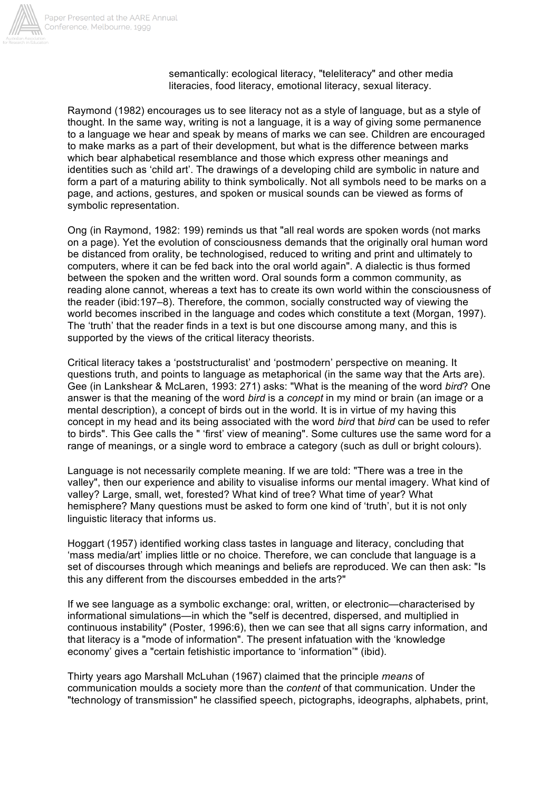

semantically: ecological literacy, "teleliteracy" and other media literacies, food literacy, emotional literacy, sexual literacy.

Raymond (1982) encourages us to see literacy not as a style of language, but as a style of thought. In the same way, writing is not a language, it is a way of giving some permanence to a language we hear and speak by means of marks we can see. Children are encouraged to make marks as a part of their development, but what is the difference between marks which bear alphabetical resemblance and those which express other meanings and identities such as 'child art'. The drawings of a developing child are symbolic in nature and form a part of a maturing ability to think symbolically. Not all symbols need to be marks on a page, and actions, gestures, and spoken or musical sounds can be viewed as forms of symbolic representation.

Ong (in Raymond, 1982: 199) reminds us that "all real words are spoken words (not marks on a page). Yet the evolution of consciousness demands that the originally oral human word be distanced from orality, be technologised, reduced to writing and print and ultimately to computers, where it can be fed back into the oral world again". A dialectic is thus formed between the spoken and the written word. Oral sounds form a common community, as reading alone cannot, whereas a text has to create its own world within the consciousness of the reader (ibid:197–8). Therefore, the common, socially constructed way of viewing the world becomes inscribed in the language and codes which constitute a text (Morgan, 1997). The 'truth' that the reader finds in a text is but one discourse among many, and this is supported by the views of the critical literacy theorists.

Critical literacy takes a 'poststructuralist' and 'postmodern' perspective on meaning. It questions truth, and points to language as metaphorical (in the same way that the Arts are). Gee (in Lankshear & McLaren, 1993: 271) asks: "What is the meaning of the word *bird*? One answer is that the meaning of the word *bird* is a *concept* in my mind or brain (an image or a mental description), a concept of birds out in the world. It is in virtue of my having this concept in my head and its being associated with the word *bird* that *bird* can be used to refer to birds". This Gee calls the " 'first' view of meaning". Some cultures use the same word for a range of meanings, or a single word to embrace a category (such as dull or bright colours).

Language is not necessarily complete meaning. If we are told: "There was a tree in the valley", then our experience and ability to visualise informs our mental imagery. What kind of valley? Large, small, wet, forested? What kind of tree? What time of year? What hemisphere? Many questions must be asked to form one kind of 'truth', but it is not only linguistic literacy that informs us.

Hoggart (1957) identified working class tastes in language and literacy, concluding that 'mass media/art' implies little or no choice. Therefore, we can conclude that language is a set of discourses through which meanings and beliefs are reproduced. We can then ask: "Is this any different from the discourses embedded in the arts?"

If we see language as a symbolic exchange: oral, written, or electronic—characterised by informational simulations—in which the "self is decentred, dispersed, and multiplied in continuous instability" (Poster, 1996:6), then we can see that all signs carry information, and that literacy is a "mode of information". The present infatuation with the 'knowledge economy' gives a "certain fetishistic importance to 'information'" (ibid).

Thirty years ago Marshall McLuhan (1967) claimed that the principle *means* of communication moulds a society more than the *content* of that communication. Under the "technology of transmission" he classified speech, pictographs, ideographs, alphabets, print,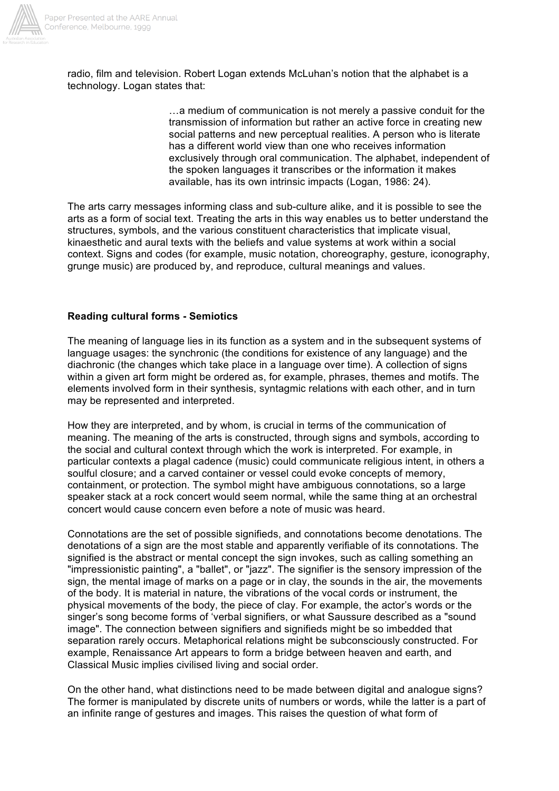

radio, film and television. Robert Logan extends McLuhan's notion that the alphabet is a technology. Logan states that:

> …a medium of communication is not merely a passive conduit for the transmission of information but rather an active force in creating new social patterns and new perceptual realities. A person who is literate has a different world view than one who receives information exclusively through oral communication. The alphabet, independent of the spoken languages it transcribes or the information it makes available, has its own intrinsic impacts (Logan, 1986: 24).

The arts carry messages informing class and sub-culture alike, and it is possible to see the arts as a form of social text. Treating the arts in this way enables us to better understand the structures, symbols, and the various constituent characteristics that implicate visual, kinaesthetic and aural texts with the beliefs and value systems at work within a social context. Signs and codes (for example, music notation, choreography, gesture, iconography, grunge music) are produced by, and reproduce, cultural meanings and values.

### **Reading cultural forms - Semiotics**

The meaning of language lies in its function as a system and in the subsequent systems of language usages: the synchronic (the conditions for existence of any language) and the diachronic (the changes which take place in a language over time). A collection of signs within a given art form might be ordered as, for example, phrases, themes and motifs. The elements involved form in their synthesis, syntagmic relations with each other, and in turn may be represented and interpreted.

How they are interpreted, and by whom, is crucial in terms of the communication of meaning. The meaning of the arts is constructed, through signs and symbols, according to the social and cultural context through which the work is interpreted. For example, in particular contexts a plagal cadence (music) could communicate religious intent, in others a soulful closure; and a carved container or vessel could evoke concepts of memory, containment, or protection. The symbol might have ambiguous connotations, so a large speaker stack at a rock concert would seem normal, while the same thing at an orchestral concert would cause concern even before a note of music was heard.

Connotations are the set of possible signifieds, and connotations become denotations. The denotations of a sign are the most stable and apparently verifiable of its connotations. The signified is the abstract or mental concept the sign invokes, such as calling something an "impressionistic painting", a "ballet", or "jazz". The signifier is the sensory impression of the sign, the mental image of marks on a page or in clay, the sounds in the air, the movements of the body. It is material in nature, the vibrations of the vocal cords or instrument, the physical movements of the body, the piece of clay. For example, the actor's words or the singer's song become forms of 'verbal signifiers, or what Saussure described as a "sound image". The connection between signifiers and signifieds might be so imbedded that separation rarely occurs. Metaphorical relations might be subconsciously constructed. For example, Renaissance Art appears to form a bridge between heaven and earth, and Classical Music implies civilised living and social order.

On the other hand, what distinctions need to be made between digital and analogue signs? The former is manipulated by discrete units of numbers or words, while the latter is a part of an infinite range of gestures and images. This raises the question of what form of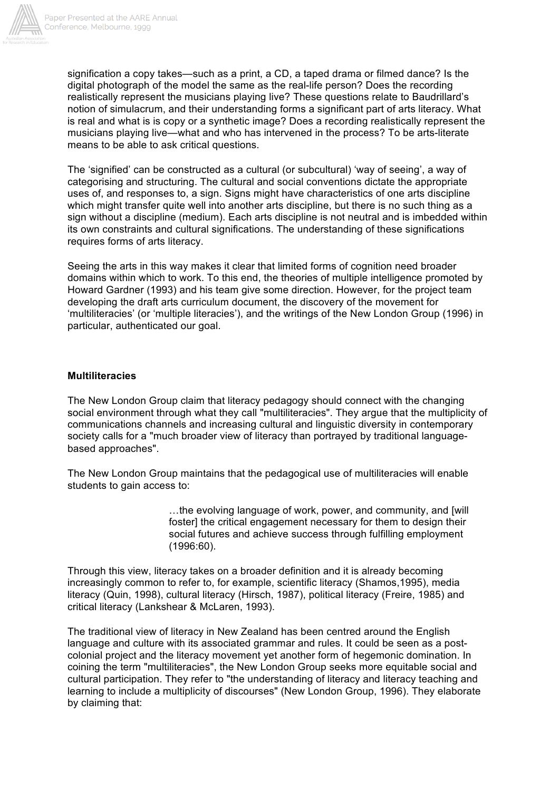

signification a copy takes—such as a print, a CD, a taped drama or filmed dance? Is the digital photograph of the model the same as the real-life person? Does the recording realistically represent the musicians playing live? These questions relate to Baudrillard's notion of simulacrum, and their understanding forms a significant part of arts literacy. What is real and what is is copy or a synthetic image? Does a recording realistically represent the musicians playing live—what and who has intervened in the process? To be arts-literate means to be able to ask critical questions.

The 'signified' can be constructed as a cultural (or subcultural) 'way of seeing', a way of categorising and structuring. The cultural and social conventions dictate the appropriate uses of, and responses to, a sign. Signs might have characteristics of one arts discipline which might transfer quite well into another arts discipline, but there is no such thing as a sign without a discipline (medium). Each arts discipline is not neutral and is imbedded within its own constraints and cultural significations. The understanding of these significations requires forms of arts literacy.

Seeing the arts in this way makes it clear that limited forms of cognition need broader domains within which to work. To this end, the theories of multiple intelligence promoted by Howard Gardner (1993) and his team give some direction. However, for the project team developing the draft arts curriculum document, the discovery of the movement for 'multiliteracies' (or 'multiple literacies'), and the writings of the New London Group (1996) in particular, authenticated our goal.

#### **Multiliteracies**

The New London Group claim that literacy pedagogy should connect with the changing social environment through what they call "multiliteracies". They argue that the multiplicity of communications channels and increasing cultural and linguistic diversity in contemporary society calls for a "much broader view of literacy than portrayed by traditional languagebased approaches".

The New London Group maintains that the pedagogical use of multiliteracies will enable students to gain access to:

> …the evolving language of work, power, and community, and [will foster] the critical engagement necessary for them to design their social futures and achieve success through fulfilling employment (1996:60).

Through this view, literacy takes on a broader definition and it is already becoming increasingly common to refer to, for example, scientific literacy (Shamos,1995), media literacy (Quin, 1998), cultural literacy (Hirsch, 1987), political literacy (Freire, 1985) and critical literacy (Lankshear & McLaren, 1993).

The traditional view of literacy in New Zealand has been centred around the English language and culture with its associated grammar and rules. It could be seen as a postcolonial project and the literacy movement yet another form of hegemonic domination. In coining the term "multiliteracies", the New London Group seeks more equitable social and cultural participation. They refer to "the understanding of literacy and literacy teaching and learning to include a multiplicity of discourses" (New London Group, 1996). They elaborate by claiming that: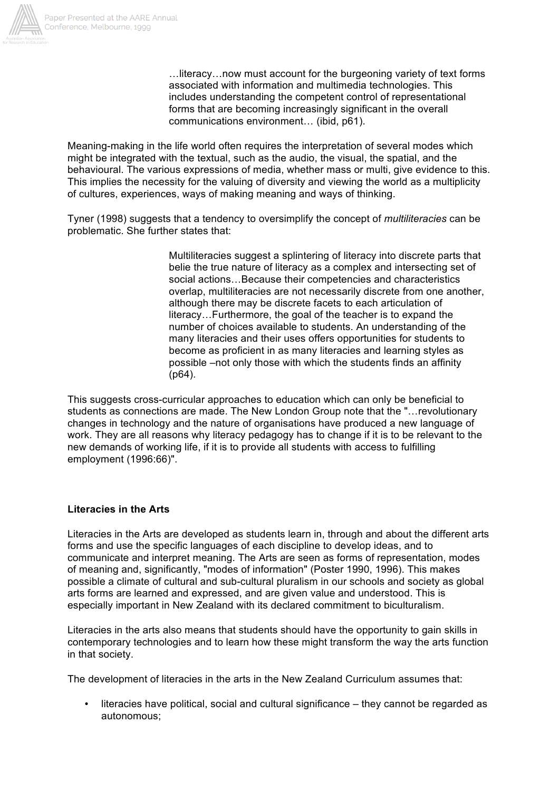

…literacy…now must account for the burgeoning variety of text forms associated with information and multimedia technologies. This includes understanding the competent control of representational forms that are becoming increasingly significant in the overall communications environment… (ibid, p61).

Meaning-making in the life world often requires the interpretation of several modes which might be integrated with the textual, such as the audio, the visual, the spatial, and the behavioural. The various expressions of media, whether mass or multi, give evidence to this. This implies the necessity for the valuing of diversity and viewing the world as a multiplicity of cultures, experiences, ways of making meaning and ways of thinking.

Tyner (1998) suggests that a tendency to oversimplify the concept of *multiliteracies* can be problematic. She further states that:

> Multiliteracies suggest a splintering of literacy into discrete parts that belie the true nature of literacy as a complex and intersecting set of social actions…Because their competencies and characteristics overlap, multiliteracies are not necessarily discrete from one another, although there may be discrete facets to each articulation of literacy…Furthermore, the goal of the teacher is to expand the number of choices available to students. An understanding of the many literacies and their uses offers opportunities for students to become as proficient in as many literacies and learning styles as possible –not only those with which the students finds an affinity (p64).

This suggests cross-curricular approaches to education which can only be beneficial to students as connections are made. The New London Group note that the "…revolutionary changes in technology and the nature of organisations have produced a new language of work. They are all reasons why literacy pedagogy has to change if it is to be relevant to the new demands of working life, if it is to provide all students with access to fulfilling employment (1996:66)".

#### **Literacies in the Arts**

Literacies in the Arts are developed as students learn in, through and about the different arts forms and use the specific languages of each discipline to develop ideas, and to communicate and interpret meaning. The Arts are seen as forms of representation, modes of meaning and, significantly, "modes of information" (Poster 1990, 1996). This makes possible a climate of cultural and sub-cultural pluralism in our schools and society as global arts forms are learned and expressed, and are given value and understood. This is especially important in New Zealand with its declared commitment to biculturalism.

Literacies in the arts also means that students should have the opportunity to gain skills in contemporary technologies and to learn how these might transform the way the arts function in that society.

The development of literacies in the arts in the New Zealand Curriculum assumes that:

• literacies have political, social and cultural significance – they cannot be regarded as autonomous;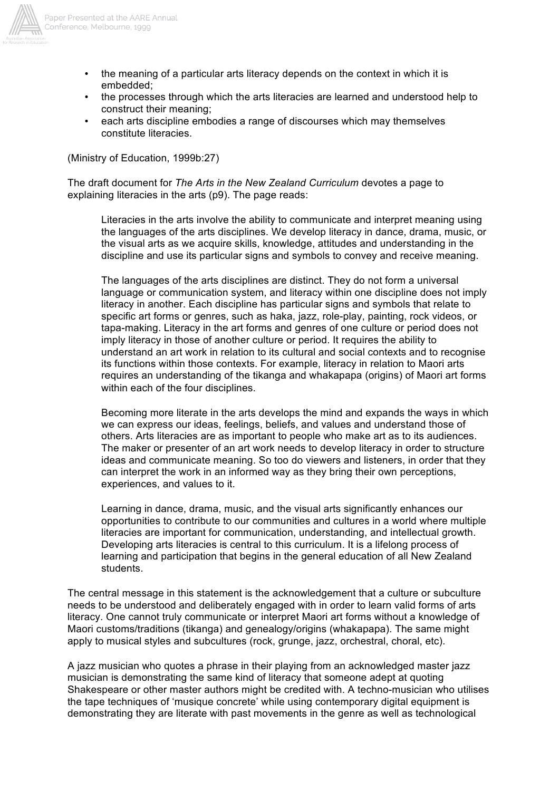

- Paper Presented at the AARE Annual Conference, Melbourne, 1999
	- the meaning of a particular arts literacy depends on the context in which it is embedded;
	- the processes through which the arts literacies are learned and understood help to construct their meaning;
	- each arts discipline embodies a range of discourses which may themselves constitute literacies.

(Ministry of Education, 1999b:27)

The draft document for *The Arts in the New Zealand Curriculum* devotes a page to explaining literacies in the arts (p9). The page reads:

Literacies in the arts involve the ability to communicate and interpret meaning using the languages of the arts disciplines. We develop literacy in dance, drama, music, or the visual arts as we acquire skills, knowledge, attitudes and understanding in the discipline and use its particular signs and symbols to convey and receive meaning.

The languages of the arts disciplines are distinct. They do not form a universal language or communication system, and literacy within one discipline does not imply literacy in another. Each discipline has particular signs and symbols that relate to specific art forms or genres, such as haka, jazz, role-play, painting, rock videos, or tapa-making. Literacy in the art forms and genres of one culture or period does not imply literacy in those of another culture or period. It requires the ability to understand an art work in relation to its cultural and social contexts and to recognise its functions within those contexts. For example, literacy in relation to Maori arts requires an understanding of the tikanga and whakapapa (origins) of Maori art forms within each of the four disciplines.

Becoming more literate in the arts develops the mind and expands the ways in which we can express our ideas, feelings, beliefs, and values and understand those of others. Arts literacies are as important to people who make art as to its audiences. The maker or presenter of an art work needs to develop literacy in order to structure ideas and communicate meaning. So too do viewers and listeners, in order that they can interpret the work in an informed way as they bring their own perceptions, experiences, and values to it.

Learning in dance, drama, music, and the visual arts significantly enhances our opportunities to contribute to our communities and cultures in a world where multiple literacies are important for communication, understanding, and intellectual growth. Developing arts literacies is central to this curriculum. It is a lifelong process of learning and participation that begins in the general education of all New Zealand students.

The central message in this statement is the acknowledgement that a culture or subculture needs to be understood and deliberately engaged with in order to learn valid forms of arts literacy. One cannot truly communicate or interpret Maori art forms without a knowledge of Maori customs/traditions (tikanga) and genealogy/origins (whakapapa). The same might apply to musical styles and subcultures (rock, grunge, jazz, orchestral, choral, etc).

A jazz musician who quotes a phrase in their playing from an acknowledged master jazz musician is demonstrating the same kind of literacy that someone adept at quoting Shakespeare or other master authors might be credited with. A techno-musician who utilises the tape techniques of 'musique concrete' while using contemporary digital equipment is demonstrating they are literate with past movements in the genre as well as technological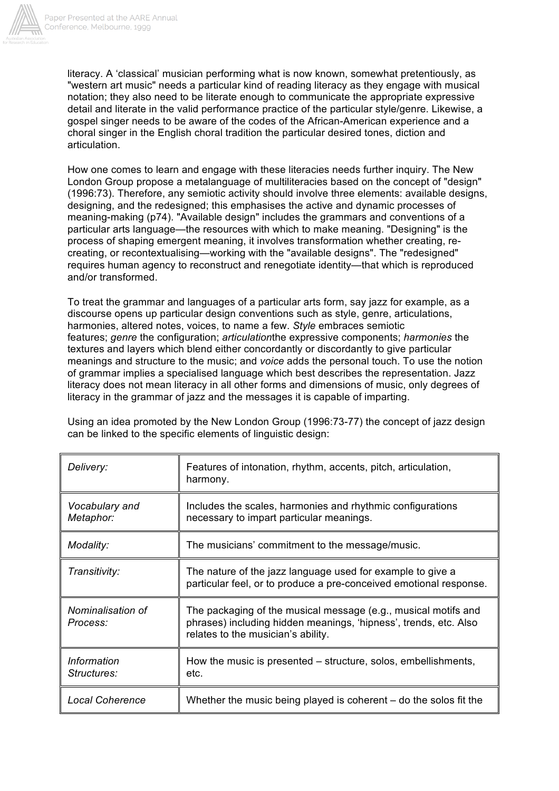

literacy. A 'classical' musician performing what is now known, somewhat pretentiously, as "western art music" needs a particular kind of reading literacy as they engage with musical notation; they also need to be literate enough to communicate the appropriate expressive detail and literate in the valid performance practice of the particular style/genre. Likewise, a gospel singer needs to be aware of the codes of the African-American experience and a choral singer in the English choral tradition the particular desired tones, diction and articulation.

How one comes to learn and engage with these literacies needs further inquiry. The New London Group propose a metalanguage of multiliteracies based on the concept of "design" (1996:73). Therefore, any semiotic activity should involve three elements: available designs, designing, and the redesigned; this emphasises the active and dynamic processes of meaning-making (p74). "Available design" includes the grammars and conventions of a particular arts language—the resources with which to make meaning. "Designing" is the process of shaping emergent meaning, it involves transformation whether creating, recreating, or recontextualising—working with the "available designs". The "redesigned" requires human agency to reconstruct and renegotiate identity—that which is reproduced and/or transformed.

To treat the grammar and languages of a particular arts form, say jazz for example, as a discourse opens up particular design conventions such as style, genre, articulations, harmonies, altered notes, voices, to name a few. *Style* embraces semiotic features; *genre* the configuration; *articulation*the expressive components; *harmonies* the textures and layers which blend either concordantly or discordantly to give particular meanings and structure to the music; and *voice* adds the personal touch. To use the notion of grammar implies a specialised language which best describes the representation. Jazz literacy does not mean literacy in all other forms and dimensions of music, only degrees of literacy in the grammar of jazz and the messages it is capable of imparting.

Using an idea promoted by the New London Group (1996:73-77) the concept of jazz design can be linked to the specific elements of linguistic design:

| Delivery:                         | Features of intonation, rhythm, accents, pitch, articulation,<br>harmony.                                                                                                |
|-----------------------------------|--------------------------------------------------------------------------------------------------------------------------------------------------------------------------|
| Vocabulary and<br>Metaphor:       | Includes the scales, harmonies and rhythmic configurations<br>necessary to impart particular meanings.                                                                   |
| Modality:                         | The musicians' commitment to the message/music.                                                                                                                          |
| Transitivity:                     | The nature of the jazz language used for example to give a<br>particular feel, or to produce a pre-conceived emotional response.                                         |
| Nominalisation of<br>Process:     | The packaging of the musical message (e.g., musical motifs and<br>phrases) including hidden meanings, 'hipness', trends, etc. Also<br>relates to the musician's ability. |
| Information<br><i>Structures:</i> | How the music is presented – structure, solos, embellishments,<br>etc.                                                                                                   |
| <b>Local Coherence</b>            | Whether the music being played is coherent $-$ do the solos fit the                                                                                                      |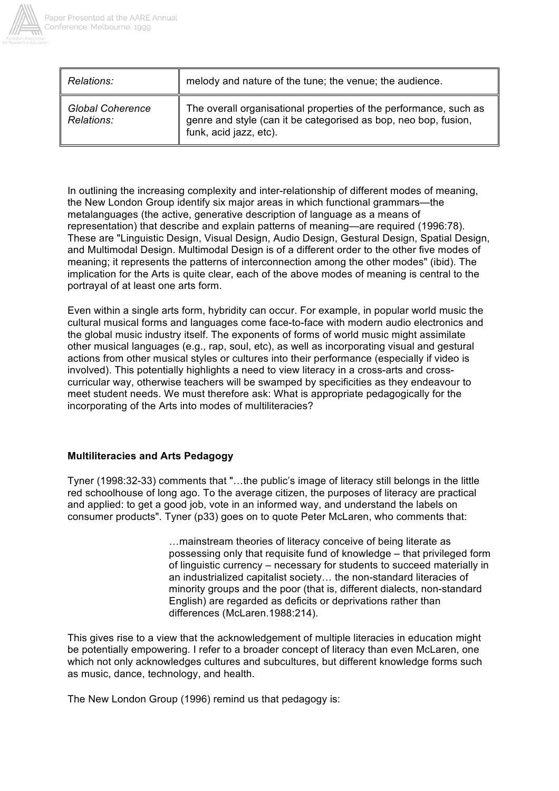

| Relations:              | melody and nature of the tune; the venue; the audience.                                                                           |
|-------------------------|-----------------------------------------------------------------------------------------------------------------------------------|
| <b>Global Coherence</b> | The overall organisational properties of the performance, such as genre and style (can it be categorised as bop, neo bop, fusion, |
| Relations:              | funk, acid jazz, etc).                                                                                                            |

In outlining the increasing complexity and inter-relationship of different modes of meaning, the New London Group identify six major areas in which functional grammars—the metalanguages (the active, generative description of language as a means of representation) that describe and explain patterns of meaning—are required (1996:78). These are "Linguistic Design, Visual Design, Audio Design, Gestural Design, Spatial Design, and Multimodal Design. Multimodal Design is of a different order to the other five modes of meaning; it represents the patterns of interconnection among the other modes" (ibid). The implication for the Arts is quite clear, each of the above modes of meaning is central to the portrayal of at least one arts form.

Even within a single arts form, hybridity can occur. For example, in popular world music the cultural musical forms and languages come face-to-face with modern audio electronics and the global music industry itself. The exponents of forms of world music might assimilate other musical languages (e.g., rap, soul, etc), as well as incorporating visual and gestural actions from other musical styles or cultures into their performance (especially if video is involved). This potentially highlights a need to view literacy in a cross-arts and crosscurricular way, otherwise teachers will be swamped by specificities as they endeavour to meet student needs. We must therefore ask: What is appropriate pedagogically for the incorporating of the Arts into modes of multiliteracies?

### **Multiliteracies and Arts Pedagogy**

Tyner (1998:32-33) comments that "…the public's image of literacy still belongs in the little red schoolhouse of long ago. To the average citizen, the purposes of literacy are practical and applied: to get a good job, vote in an informed way, and understand the labels on consumer products". Tyner (p33) goes on to quote Peter McLaren, who comments that:

> …mainstream theories of literacy conceive of being literate as possessing only that requisite fund of knowledge – that privileged form of linguistic currency – necessary for students to succeed materially in an industrialized capitalist society… the non-standard literacies of minority groups and the poor (that is, different dialects, non-standard English) are regarded as deficits or deprivations rather than differences (McLaren.1988:214).

This gives rise to a view that the acknowledgement of multiple literacies in education might be potentially empowering. I refer to a broader concept of literacy than even McLaren, one which not only acknowledges cultures and subcultures, but different knowledge forms such as music, dance, technology, and health.

The New London Group (1996) remind us that pedagogy is: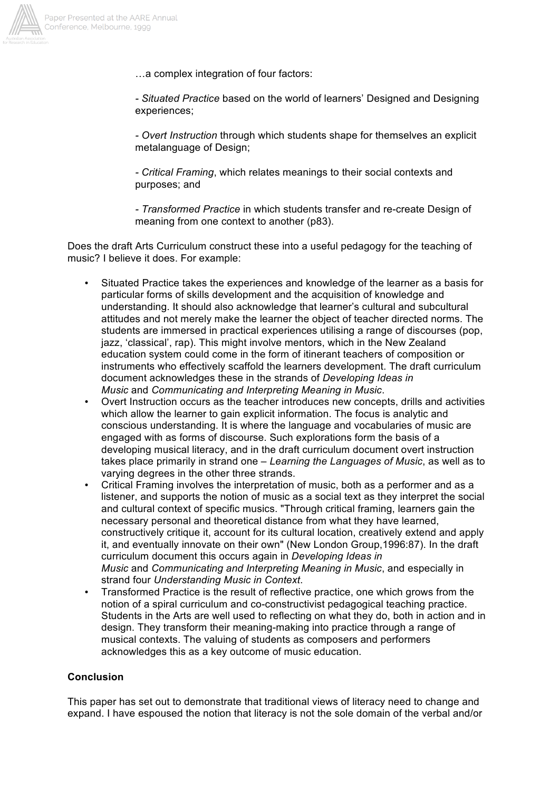

- …a complex integration of four factors:
- *- Situated Practice* based on the world of learners' Designed and Designing experiences;

*- Overt Instruction* through which students shape for themselves an explicit metalanguage of Design;

*- Critical Framing*, which relates meanings to their social contexts and purposes; and

*- Transformed Practice* in which students transfer and re-create Design of meaning from one context to another (p83).

Does the draft Arts Curriculum construct these into a useful pedagogy for the teaching of music? I believe it does. For example:

- Situated Practice takes the experiences and knowledge of the learner as a basis for particular forms of skills development and the acquisition of knowledge and understanding. It should also acknowledge that learner's cultural and subcultural attitudes and not merely make the learner the object of teacher directed norms. The students are immersed in practical experiences utilising a range of discourses (pop, jazz, 'classical', rap). This might involve mentors, which in the New Zealand education system could come in the form of itinerant teachers of composition or instruments who effectively scaffold the learners development. The draft curriculum document acknowledges these in the strands of *Developing Ideas in Music* and *Communicating and Interpreting Meaning in Music*.
- Overt Instruction occurs as the teacher introduces new concepts, drills and activities which allow the learner to gain explicit information. The focus is analytic and conscious understanding. It is where the language and vocabularies of music are engaged with as forms of discourse. Such explorations form the basis of a developing musical literacy, and in the draft curriculum document overt instruction takes place primarily in strand one – *Learning the Languages of Music*, as well as to varying degrees in the other three strands.
- Critical Framing involves the interpretation of music, both as a performer and as a listener, and supports the notion of music as a social text as they interpret the social and cultural context of specific musics. "Through critical framing, learners gain the necessary personal and theoretical distance from what they have learned, constructively critique it, account for its cultural location, creatively extend and apply it, and eventually innovate on their own" (New London Group,1996:87). In the draft curriculum document this occurs again in *Developing Ideas in Music* and *Communicating and Interpreting Meaning in Music*, and especially in strand four *Understanding Music in Context*.
- Transformed Practice is the result of reflective practice, one which grows from the notion of a spiral curriculum and co-constructivist pedagogical teaching practice. Students in the Arts are well used to reflecting on what they do, both in action and in design. They transform their meaning-making into practice through a range of musical contexts. The valuing of students as composers and performers acknowledges this as a key outcome of music education.

# **Conclusion**

This paper has set out to demonstrate that traditional views of literacy need to change and expand. I have espoused the notion that literacy is not the sole domain of the verbal and/or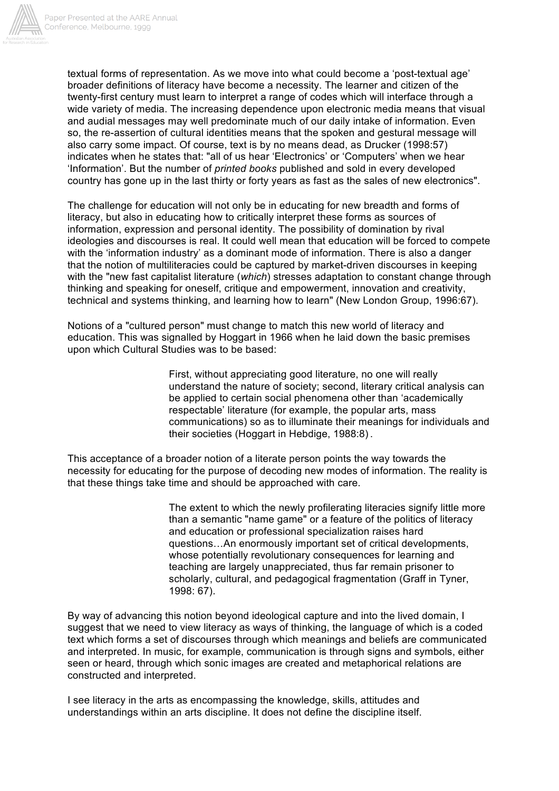

textual forms of representation. As we move into what could become a 'post-textual age' broader definitions of literacy have become a necessity. The learner and citizen of the twenty-first century must learn to interpret a range of codes which will interface through a wide variety of media. The increasing dependence upon electronic media means that visual and audial messages may well predominate much of our daily intake of information. Even so, the re-assertion of cultural identities means that the spoken and gestural message will also carry some impact. Of course, text is by no means dead, as Drucker (1998:57) indicates when he states that: "all of us hear 'Electronics' or 'Computers' when we hear 'Information'. But the number of *printed books* published and sold in every developed country has gone up in the last thirty or forty years as fast as the sales of new electronics".

The challenge for education will not only be in educating for new breadth and forms of literacy, but also in educating how to critically interpret these forms as sources of information, expression and personal identity. The possibility of domination by rival ideologies and discourses is real. It could well mean that education will be forced to compete with the 'information industry' as a dominant mode of information. There is also a danger that the notion of multiliteracies could be captured by market-driven discourses in keeping with the "new fast capitalist literature (*which*) stresses adaptation to constant change through thinking and speaking for oneself, critique and empowerment, innovation and creativity, technical and systems thinking, and learning how to learn" (New London Group, 1996:67).

Notions of a "cultured person" must change to match this new world of literacy and education. This was signalled by Hoggart in 1966 when he laid down the basic premises upon which Cultural Studies was to be based:

> First, without appreciating good literature, no one will really understand the nature of society; second, literary critical analysis can be applied to certain social phenomena other than 'academically respectable' literature (for example, the popular arts, mass communications) so as to illuminate their meanings for individuals and their societies (Hoggart in Hebdige, 1988:8) .

This acceptance of a broader notion of a literate person points the way towards the necessity for educating for the purpose of decoding new modes of information. The reality is that these things take time and should be approached with care.

> The extent to which the newly profilerating literacies signify little more than a semantic "name game" or a feature of the politics of literacy and education or professional specialization raises hard questions…An enormously important set of critical developments, whose potentially revolutionary consequences for learning and teaching are largely unappreciated, thus far remain prisoner to scholarly, cultural, and pedagogical fragmentation (Graff in Tyner, 1998: 67).

By way of advancing this notion beyond ideological capture and into the lived domain, I suggest that we need to view literacy as ways of thinking, the language of which is a coded text which forms a set of discourses through which meanings and beliefs are communicated and interpreted. In music, for example, communication is through signs and symbols, either seen or heard, through which sonic images are created and metaphorical relations are constructed and interpreted.

I see literacy in the arts as encompassing the knowledge, skills, attitudes and understandings within an arts discipline. It does not define the discipline itself.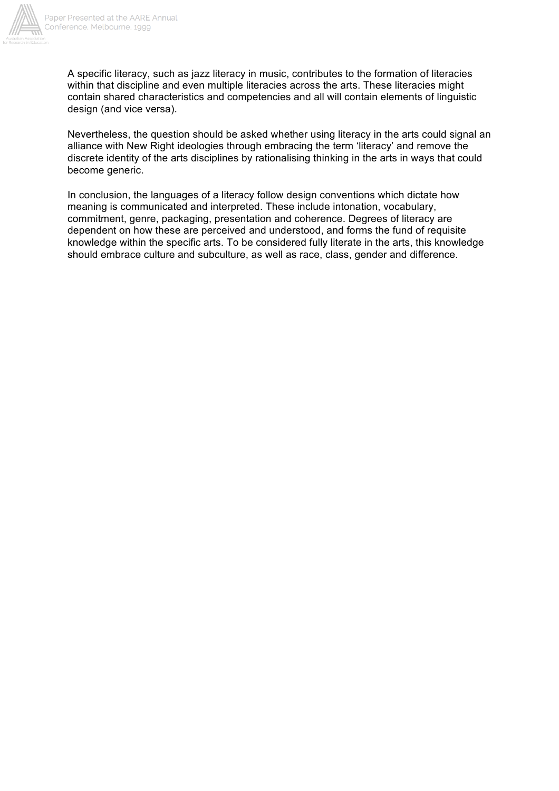

A specific literacy, such as jazz literacy in music, contributes to the formation of literacies within that discipline and even multiple literacies across the arts. These literacies might contain shared characteristics and competencies and all will contain elements of linguistic design (and vice versa).

Nevertheless, the question should be asked whether using literacy in the arts could signal an alliance with New Right ideologies through embracing the term 'literacy' and remove the discrete identity of the arts disciplines by rationalising thinking in the arts in ways that could become generic.

In conclusion, the languages of a literacy follow design conventions which dictate how meaning is communicated and interpreted. These include intonation, vocabulary, commitment, genre, packaging, presentation and coherence. Degrees of literacy are dependent on how these are perceived and understood, and forms the fund of requisite knowledge within the specific arts. To be considered fully literate in the arts, this knowledge should embrace culture and subculture, as well as race, class, gender and difference.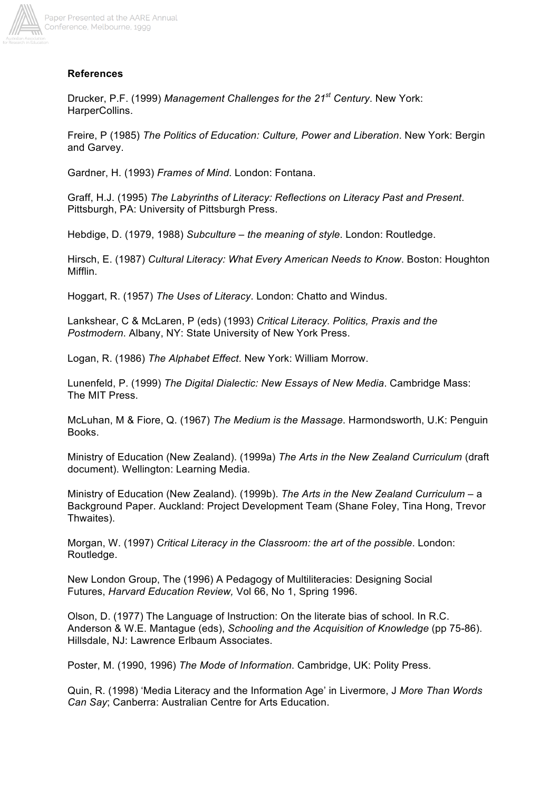

# **References**

Drucker, P.F. (1999) *Management Challenges for the 21st Century*. New York: HarperCollins.

Freire, P (1985) *The Politics of Education: Culture, Power and Liberation*. New York: Bergin and Garvey.

Gardner, H. (1993) *Frames of Mind*. London: Fontana.

Graff, H.J. (1995) *The Labyrinths of Literacy: Reflections on Literacy Past and Present*. Pittsburgh, PA: University of Pittsburgh Press.

Hebdige, D. (1979, 1988) *Subculture – the meaning of style*. London: Routledge.

Hirsch, E. (1987) *Cultural Literacy: What Every American Needs to Know*. Boston: Houghton Mifflin.

Hoggart, R. (1957) *The Uses of Literacy*. London: Chatto and Windus.

Lankshear, C & McLaren, P (eds) (1993) *Critical Literacy. Politics, Praxis and the Postmodern*. Albany, NY: State University of New York Press.

Logan, R. (1986) *The Alphabet Effect*. New York: William Morrow.

Lunenfeld, P. (1999) *The Digital Dialectic: New Essays of New Media*. Cambridge Mass: The MIT Press.

McLuhan, M & Fiore, Q. (1967) *The Medium is the Massage*. Harmondsworth, U.K: Penguin Books.

Ministry of Education (New Zealand). (1999a) *The Arts in the New Zealand Curriculum* (draft document). Wellington: Learning Media.

Ministry of Education (New Zealand). (1999b). *The Arts in the New Zealand Curriculum* – a Background Paper. Auckland: Project Development Team (Shane Foley, Tina Hong, Trevor Thwaites).

Morgan, W. (1997) *Critical Literacy in the Classroom: the art of the possible*. London: Routledge.

New London Group, The (1996) A Pedagogy of Multiliteracies: Designing Social Futures, *Harvard Education Review,* Vol 66, No 1, Spring 1996.

Olson, D. (1977) The Language of Instruction: On the literate bias of school. In R.C. Anderson & W.E. Mantague (eds), *Schooling and the Acquisition of Knowledge* (pp 75-86). Hillsdale, NJ: Lawrence Erlbaum Associates.

Poster, M. (1990, 1996) *The Mode of Information*. Cambridge, UK: Polity Press.

Quin, R. (1998) 'Media Literacy and the Information Age' in Livermore, J *More Than Words Can Say*; Canberra: Australian Centre for Arts Education.